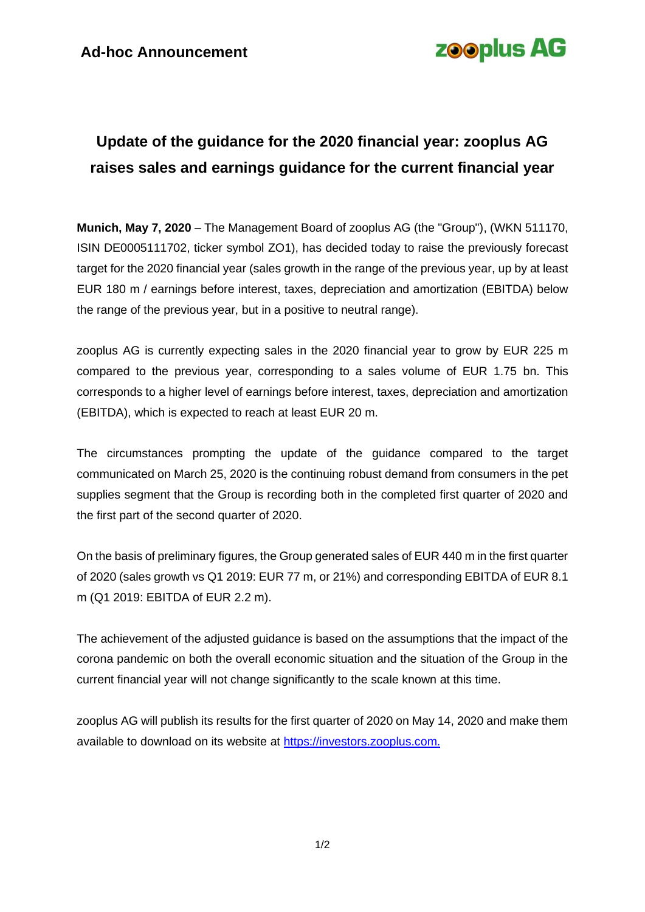# **zooplus AG**

### **Update of the guidance for the 2020 financial year: zooplus AG raises sales and earnings guidance for the current financial year**

**Munich, May 7, 2020** – The Management Board of zooplus AG (the "Group"), (WKN 511170, ISIN DE0005111702, ticker symbol ZO1), has decided today to raise the previously forecast target for the 2020 financial year (sales growth in the range of the previous year, up by at least EUR 180 m / earnings before interest, taxes, depreciation and amortization (EBITDA) below the range of the previous year, but in a positive to neutral range).

zooplus AG is currently expecting sales in the 2020 financial year to grow by EUR 225 m compared to the previous year, corresponding to a sales volume of EUR 1.75 bn. This corresponds to a higher level of earnings before interest, taxes, depreciation and amortization (EBITDA), which is expected to reach at least EUR 20 m.

The circumstances prompting the update of the guidance compared to the target communicated on March 25, 2020 is the continuing robust demand from consumers in the pet supplies segment that the Group is recording both in the completed first quarter of 2020 and the first part of the second quarter of 2020.

On the basis of preliminary figures, the Group generated sales of EUR 440 m in the first quarter of 2020 (sales growth vs Q1 2019: EUR 77 m, or 21%) and corresponding EBITDA of EUR 8.1 m (Q1 2019: EBITDA of EUR 2.2 m).

The achievement of the adjusted guidance is based on the assumptions that the impact of the corona pandemic on both the overall economic situation and the situation of the Group in the current financial year will not change significantly to the scale known at this time.

zooplus AG will publish its results for the first quarter of 2020 on May 14, 2020 and make them available to download on its website at [https://investors.zooplus.com.](https://investors.zooplus.com/)